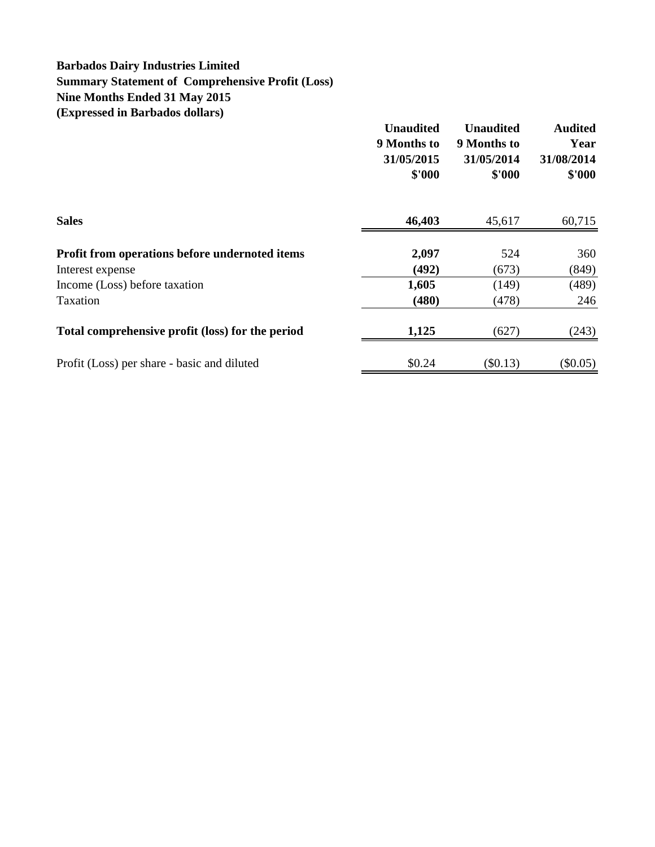### **Barbados Dairy Industries Limited Summary Statement of Comprehensive Profit (Loss) Nine Months Ended 31 May 2015 (Expressed in Barbados dollars)**

|                                                  | <b>Unaudited</b><br>9 Months to<br>31/05/2015<br>\$'000 | <b>Unaudited</b><br>9 Months to<br>31/05/2014<br>\$'000 | <b>Audited</b><br>Year<br>31/08/2014<br>\$'000 |
|--------------------------------------------------|---------------------------------------------------------|---------------------------------------------------------|------------------------------------------------|
| <b>Sales</b>                                     | 46,403                                                  | 45,617                                                  | 60,715                                         |
| Profit from operations before undernoted items   | 2,097                                                   | 524                                                     | 360                                            |
| Interest expense                                 | (492)                                                   | (673)                                                   | (849)                                          |
| Income (Loss) before taxation                    | 1,605                                                   | (149)                                                   | (489)                                          |
| Taxation                                         | (480)                                                   | (478)                                                   | 246                                            |
| Total comprehensive profit (loss) for the period | 1,125                                                   | (627)                                                   | (243)                                          |
| Profit (Loss) per share - basic and diluted      | \$0.24                                                  | (\$0.13)                                                | $(\$0.05)$                                     |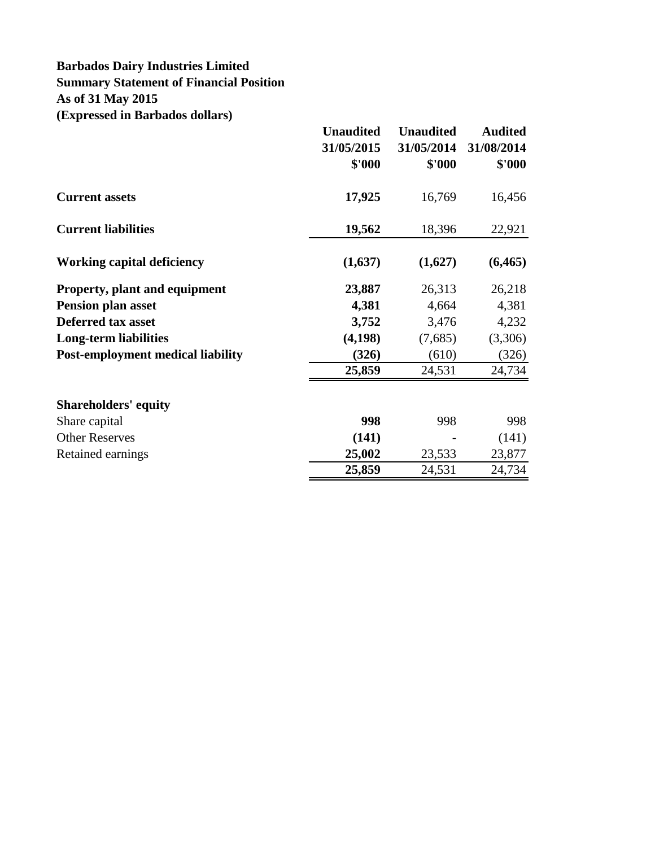# **Barbados Dairy Industries Limited Summary Statement of Financial Position As of 31 May 2015 (Expressed in Barbados dollars)**

|                                          | <b>Unaudited</b><br>31/05/2015<br>\$'000 | <b>Unaudited</b><br>31/05/2014<br>\$'000 | <b>Audited</b><br>31/08/2014<br>\$'000 |
|------------------------------------------|------------------------------------------|------------------------------------------|----------------------------------------|
| <b>Current assets</b>                    | 17,925                                   | 16,769                                   | 16,456                                 |
| <b>Current liabilities</b>               | 19,562                                   | 18,396                                   | 22,921                                 |
| <b>Working capital deficiency</b>        | (1,637)                                  | (1,627)                                  | (6, 465)                               |
| <b>Property, plant and equipment</b>     | 23,887                                   | 26,313                                   | 26,218                                 |
| <b>Pension plan asset</b>                | 4,381                                    | 4,664                                    | 4,381                                  |
| <b>Deferred tax asset</b>                | 3,752                                    | 3,476                                    | 4,232                                  |
| Long-term liabilities                    | (4,198)                                  | (7,685)                                  | (3,306)                                |
| <b>Post-employment medical liability</b> | (326)                                    | (610)                                    | (326)                                  |
|                                          | 25,859                                   | 24,531                                   | 24,734                                 |
| <b>Shareholders' equity</b>              |                                          |                                          |                                        |
| Share capital                            | 998                                      | 998                                      | 998                                    |
| <b>Other Reserves</b>                    | (141)                                    |                                          | (141)                                  |
| Retained earnings                        | 25,002                                   | 23,533                                   | 23,877                                 |
|                                          | 25,859                                   | 24,531                                   | 24,734                                 |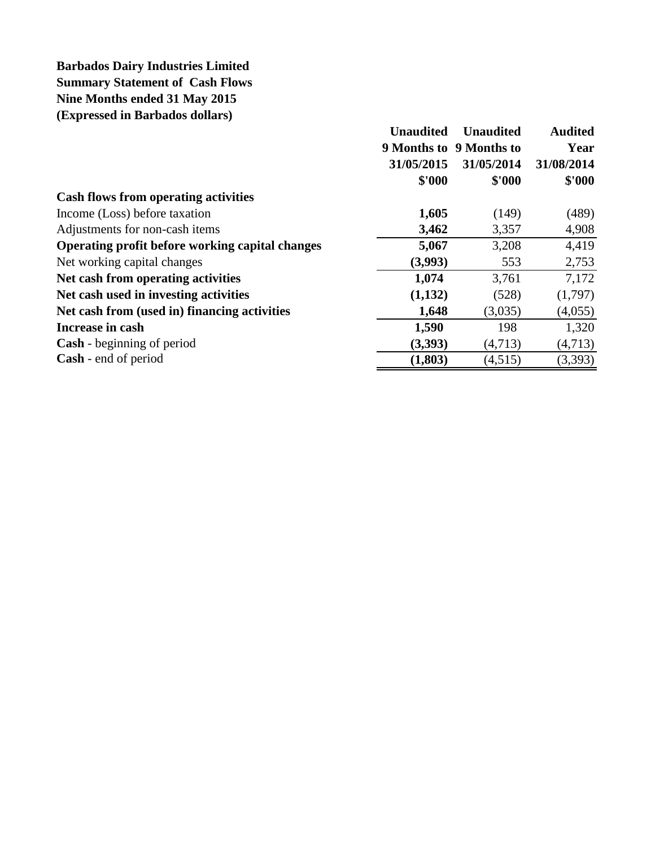# **Barbados Dairy Industries Limited Summary Statement of Cash Flows Nine Months ended 31 May 2015 (Expressed in Barbados dollars)**

|                                                 | <b>Unaudited</b> | <b>Unaudited</b>        | <b>Audited</b> |
|-------------------------------------------------|------------------|-------------------------|----------------|
|                                                 |                  | 9 Months to 9 Months to | Year           |
|                                                 | 31/05/2015       | 31/05/2014              | 31/08/2014     |
|                                                 | \$'000           | \$'000                  | \$'000         |
| <b>Cash flows from operating activities</b>     |                  |                         |                |
| Income (Loss) before taxation                   | 1,605            | (149)                   | (489)          |
| Adjustments for non-cash items                  | 3,462            | 3,357                   | 4,908          |
| Operating profit before working capital changes | 5,067            | 3,208                   | 4,419          |
| Net working capital changes                     | (3,993)          | 553                     | 2,753          |
| Net cash from operating activities              | 1,074            | 3,761                   | 7,172          |
| Net cash used in investing activities           | (1,132)          | (528)                   | (1,797)        |
| Net cash from (used in) financing activities    | 1,648            | (3,035)                 | (4,055)        |
| Increase in cash                                | 1,590            | 198                     | 1,320          |
| <b>Cash</b> - beginning of period               | (3,393)          | (4,713)                 | (4,713)        |
| <b>Cash</b> - end of period                     | (1,803)          | (4,515)                 | (3,393)        |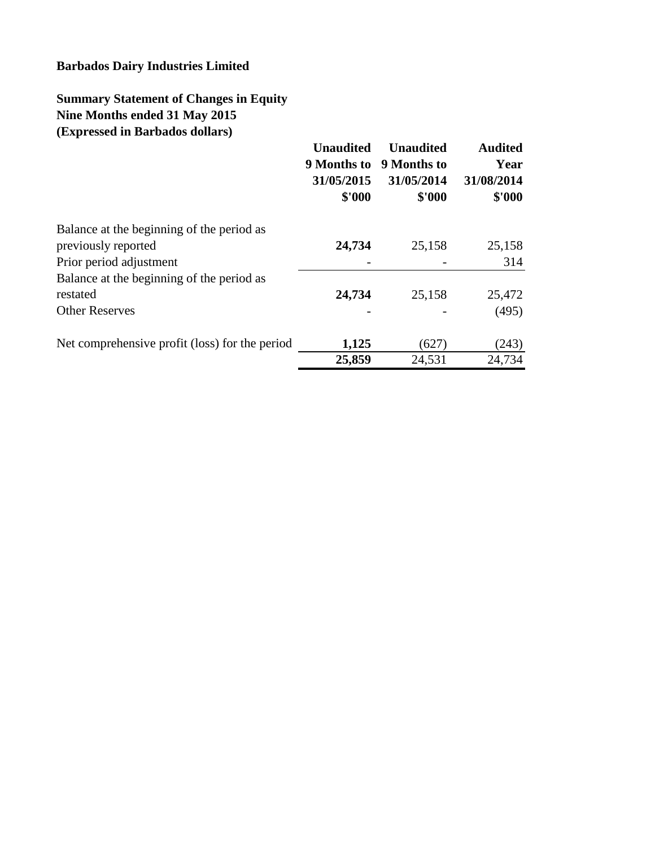## **Barbados Dairy Industries Limited**

# **Summary Statement of Changes in Equity Nine Months ended 31 May 2015 (Expressed in Barbados dollars)**

|                                                | <b>Unaudited</b><br>9 Months to<br>31/05/2015<br>\$'000 | <b>Unaudited</b><br>9 Months to<br>31/05/2014<br>\$'000 | <b>Audited</b><br>Year<br>31/08/2014<br>\$'000 |
|------------------------------------------------|---------------------------------------------------------|---------------------------------------------------------|------------------------------------------------|
| Balance at the beginning of the period as      |                                                         |                                                         |                                                |
| previously reported                            | 24,734                                                  | 25,158                                                  | 25,158                                         |
| Prior period adjustment                        |                                                         |                                                         | 314                                            |
| Balance at the beginning of the period as      |                                                         |                                                         |                                                |
| restated                                       | 24,734                                                  | 25,158                                                  | 25,472                                         |
| <b>Other Reserves</b>                          |                                                         |                                                         | (495)                                          |
| Net comprehensive profit (loss) for the period | 1,125                                                   | (627)                                                   | (243)                                          |
|                                                | 25,859                                                  | 24,531                                                  | 24,734                                         |